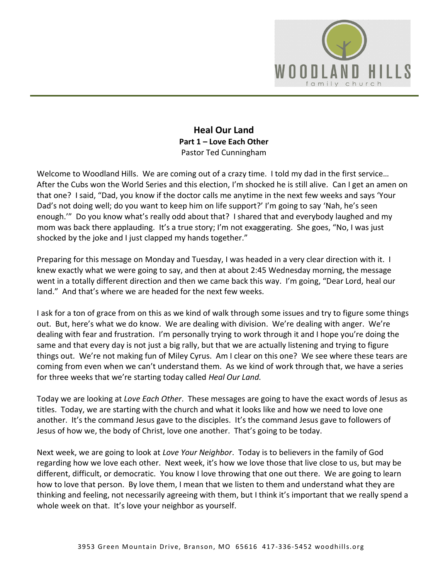

# **Heal Our Land Part 1 – Love Each Other**  Pastor Ted Cunningham

Welcome to Woodland Hills. We are coming out of a crazy time. I told my dad in the first service... After the Cubs won the World Series and this election, I'm shocked he is still alive. Can I get an amen on that one? I said, "Dad, you know if the doctor calls me anytime in the next few weeks and says 'Your Dad's not doing well; do you want to keep him on life support?' I'm going to say 'Nah, he's seen enough.'" Do you know what's really odd about that? I shared that and everybody laughed and my mom was back there applauding. It's a true story; I'm not exaggerating. She goes, "No, I was just shocked by the joke and I just clapped my hands together."

Preparing for this message on Monday and Tuesday, I was headed in a very clear direction with it. I knew exactly what we were going to say, and then at about 2:45 Wednesday morning, the message went in a totally different direction and then we came back this way. I'm going, "Dear Lord, heal our land." And that's where we are headed for the next few weeks.

I ask for a ton of grace from on this as we kind of walk through some issues and try to figure some things out. But, here's what we do know. We are dealing with division. We're dealing with anger. We're dealing with fear and frustration. I'm personally trying to work through it and I hope you're doing the same and that every day is not just a big rally, but that we are actually listening and trying to figure things out. We're not making fun of Miley Cyrus. Am I clear on this one? We see where these tears are coming from even when we can't understand them. As we kind of work through that, we have a series for three weeks that we're starting today called *Heal Our Land.* 

Today we are looking at *Love Each Other*. These messages are going to have the exact words of Jesus as titles. Today, we are starting with the church and what it looks like and how we need to love one another. It's the command Jesus gave to the disciples. It's the command Jesus gave to followers of Jesus of how we, the body of Christ, love one another. That's going to be today.

Next week, we are going to look at *Love Your Neighbor*. Today is to believers in the family of God regarding how we love each other. Next week, it's how we love those that live close to us, but may be different, difficult, or democratic. You know I love throwing that one out there. We are going to learn how to love that person. By love them, I mean that we listen to them and understand what they are thinking and feeling, not necessarily agreeing with them, but I think it's important that we really spend a whole week on that. It's love your neighbor as yourself.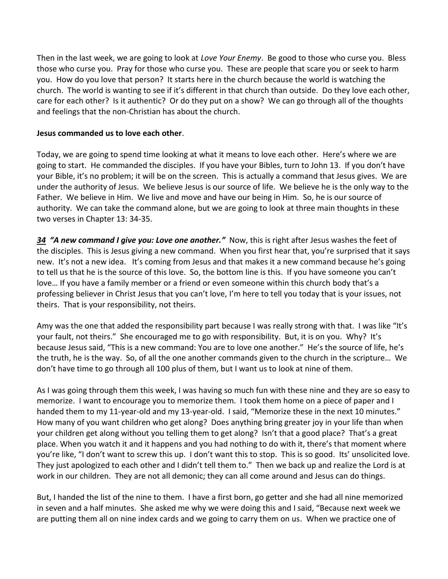Then in the last week, we are going to look at *Love Your Enemy*. Be good to those who curse you. Bless those who curse you. Pray for those who curse you. These are people that scare you or seek to harm you. How do you love that person? It starts here in the church because the world is watching the church. The world is wanting to see if it's different in that church than outside. Do they love each other, care for each other? Is it authentic? Or do they put on a show? We can go through all of the thoughts and feelings that the non-Christian has about the church.

#### **Jesus commanded us to love each other**.

Today, we are going to spend time looking at what it means to love each other. Here's where we are going to start. He commanded the disciples. If you have your Bibles, turn to John 13. If you don't have your Bible, it's no problem; it will be on the screen. This is actually a command that Jesus gives. We are under the authority of Jesus. We believe Jesus is our source of life. We believe he is the only way to the Father. We believe in Him. We live and move and have our being in Him. So, he is our source of authority. We can take the command alone, but we are going to look at three main thoughts in these two verses in Chapter 13: 34-35.

*[34](http://www.studylight.org/desk/?q=joh%2013:34&t1=en_niv&sr=1) "A new command I give you: Love one another."* Now, this is right after Jesus washes the feet of the disciples. This is Jesus giving a new command. When you first hear that, you're surprised that it says new. It's not a new idea. It's coming from Jesus and that makes it a new command because he's going to tell us that he is the source of this love. So, the bottom line is this. If you have someone you can't love… If you have a family member or a friend or even someone within this church body that's a professing believer in Christ Jesus that you can't love, I'm here to tell you today that is your issues, not theirs. That is your responsibility, not theirs.

Amy was the one that added the responsibility part because I was really strong with that. I was like "It's your fault, not theirs." She encouraged me to go with responsibility. But, it is on you. Why? It's because Jesus said, "This is a new command: You are to love one another." He's the source of life, he's the truth, he is the way. So, of all the one another commands given to the church in the scripture… We don't have time to go through all 100 plus of them, but I want us to look at nine of them.

As I was going through them this week, I was having so much fun with these nine and they are so easy to memorize. I want to encourage you to memorize them. I took them home on a piece of paper and I handed them to my 11-year-old and my 13-year-old. I said, "Memorize these in the next 10 minutes." How many of you want children who get along? Does anything bring greater joy in your life than when your children get along without you telling them to get along? Isn't that a good place? That's a great place. When you watch it and it happens and you had nothing to do with it, there's that moment where you're like, "I don't want to screw this up. I don't want this to stop. This is so good. Its' unsolicited love. They just apologized to each other and I didn't tell them to." Then we back up and realize the Lord is at work in our children. They are not all demonic; they can all come around and Jesus can do things.

But, I handed the list of the nine to them. I have a first born, go getter and she had all nine memorized in seven and a half minutes. She asked me why we were doing this and I said, "Because next week we are putting them all on nine index cards and we going to carry them on us. When we practice one of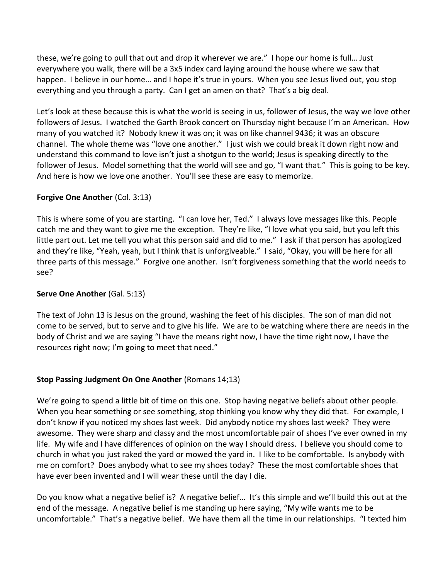these, we're going to pull that out and drop it wherever we are." I hope our home is full… Just everywhere you walk, there will be a 3x5 index card laying around the house where we saw that happen. I believe in our home… and I hope it's true in yours. When you see Jesus lived out, you stop everything and you through a party. Can I get an amen on that? That's a big deal.

Let's look at these because this is what the world is seeing in us, follower of Jesus, the way we love other followers of Jesus. I watched the Garth Brook concert on Thursday night because I'm an American. How many of you watched it? Nobody knew it was on; it was on like channel 9436; it was an obscure channel. The whole theme was "love one another." I just wish we could break it down right now and understand this command to love isn't just a shotgun to the world; Jesus is speaking directly to the follower of Jesus. Model something that the world will see and go, "I want that." This is going to be key. And here is how we love one another. You'll see these are easy to memorize.

# **Forgive One Another** (Col. 3:13)

This is where some of you are starting. "I can love her, Ted." I always love messages like this. People catch me and they want to give me the exception. They're like, "I love what you said, but you left this little part out. Let me tell you what this person said and did to me." I ask if that person has apologized and they're like, "Yeah, yeah, but I think that is unforgiveable." I said, "Okay, you will be here for all three parts of this message." Forgive one another. Isn't forgiveness something that the world needs to see?

# **Serve One Another** (Gal. 5:13)

The text of John 13 is Jesus on the ground, washing the feet of his disciples. The son of man did not come to be served, but to serve and to give his life. We are to be watching where there are needs in the body of Christ and we are saying "I have the means right now, I have the time right now, I have the resources right now; I'm going to meet that need."

# **Stop Passing Judgment On One Another** (Romans 14;13)

We're going to spend a little bit of time on this one. Stop having negative beliefs about other people. When you hear something or see something, stop thinking you know why they did that. For example, I don't know if you noticed my shoes last week. Did anybody notice my shoes last week? They were awesome. They were sharp and classy and the most uncomfortable pair of shoes I've ever owned in my life. My wife and I have differences of opinion on the way I should dress. I believe you should come to church in what you just raked the yard or mowed the yard in. I like to be comfortable. Is anybody with me on comfort? Does anybody what to see my shoes today? These the most comfortable shoes that have ever been invented and I will wear these until the day I die.

Do you know what a negative belief is? A negative belief… It's this simple and we'll build this out at the end of the message. A negative belief is me standing up here saying, "My wife wants me to be uncomfortable." That's a negative belief. We have them all the time in our relationships. "I texted him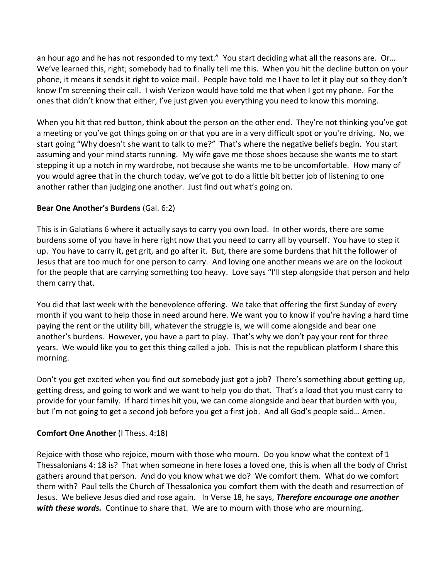an hour ago and he has not responded to my text." You start deciding what all the reasons are. Or... We've learned this, right; somebody had to finally tell me this. When you hit the decline button on your phone, it means it sends it right to voice mail. People have told me I have to let it play out so they don't know I'm screening their call. I wish Verizon would have told me that when I got my phone. For the ones that didn't know that either, I've just given you everything you need to know this morning.

When you hit that red button, think about the person on the other end. They're not thinking you've got a meeting or you've got things going on or that you are in a very difficult spot or you're driving. No, we start going "Why doesn't she want to talk to me?" That's where the negative beliefs begin. You start assuming and your mind starts running. My wife gave me those shoes because she wants me to start stepping it up a notch in my wardrobe, not because she wants me to be uncomfortable. How many of you would agree that in the church today, we've got to do a little bit better job of listening to one another rather than judging one another. Just find out what's going on.

# **Bear One Another's Burdens** (Gal. 6:2)

This is in Galatians 6 where it actually says to carry you own load. In other words, there are some burdens some of you have in here right now that you need to carry all by yourself. You have to step it up. You have to carry it, get grit, and go after it. But, there are some burdens that hit the follower of Jesus that are too much for one person to carry. And loving one another means we are on the lookout for the people that are carrying something too heavy. Love says "I'll step alongside that person and help them carry that.

You did that last week with the benevolence offering. We take that offering the first Sunday of every month if you want to help those in need around here. We want you to know if you're having a hard time paying the rent or the utility bill, whatever the struggle is, we will come alongside and bear one another's burdens. However, you have a part to play. That's why we don't pay your rent for three years. We would like you to get this thing called a job. This is not the republican platform I share this morning.

Don't you get excited when you find out somebody just got a job? There's something about getting up, getting dress, and going to work and we want to help you do that. That's a load that you must carry to provide for your family. If hard times hit you, we can come alongside and bear that burden with you, but I'm not going to get a second job before you get a first job. And all God's people said… Amen.

# **Comfort One Another** (I Thess. 4:18)

Rejoice with those who rejoice, mourn with those who mourn. Do you know what the context of 1 Thessalonians 4: 18 is? That when someone in here loses a loved one, this is when all the body of Christ gathers around that person. And do you know what we do? We comfort them. What do we comfort them with? Paul tells the Church of Thessalonica you comfort them with the death and resurrection of Jesus. We believe Jesus died and rose again. In Verse 18, he says, *Therefore encourage one another*  with these words. Continue to share that. We are to mourn with those who are mourning.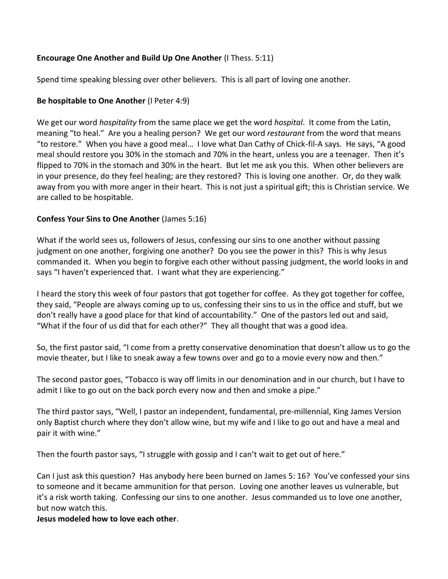# **Encourage One Another and Build Up One Another** (I Thess. 5:11)

Spend time speaking blessing over other believers. This is all part of loving one another.

#### **Be hospitable to One Another** (I Peter 4:9)

We get our word *hospitality* from the same place we get the word *hospital*. It come from the Latin, meaning "to heal." Are you a healing person? We get our word *restaurant* from the word that means "to restore." When you have a good meal… I love what Dan Cathy of Chick-fil-A says. He says, "A good meal should restore you 30% in the stomach and 70% in the heart, unless you are a teenager. Then it's flipped to 70% in the stomach and 30% in the heart. But let me ask you this. When other believers are in your presence, do they feel healing; are they restored? This is loving one another. Or, do they walk away from you with more anger in their heart. This is not just a spiritual gift; this is Christian service. We are called to be hospitable.

#### **Confess Your Sins to One Another** (James 5:16)

What if the world sees us, followers of Jesus, confessing our sins to one another without passing judgment on one another, forgiving one another? Do you see the power in this? This is why Jesus commanded it. When you begin to forgive each other without passing judgment, the world looks in and says "I haven't experienced that. I want what they are experiencing."

I heard the story this week of four pastors that got together for coffee. As they got together for coffee, they said, "People are always coming up to us, confessing their sins to us in the office and stuff, but we don't really have a good place for that kind of accountability." One of the pastors led out and said, "What if the four of us did that for each other?" They all thought that was a good idea.

So, the first pastor said, "I come from a pretty conservative denomination that doesn't allow us to go the movie theater, but I like to sneak away a few towns over and go to a movie every now and then."

The second pastor goes, "Tobacco is way off limits in our denomination and in our church, but I have to admit I like to go out on the back porch every now and then and smoke a pipe."

The third pastor says, "Well, I pastor an independent, fundamental, pre-millennial, King James Version only Baptist church where they don't allow wine, but my wife and I like to go out and have a meal and pair it with wine."

Then the fourth pastor says, "I struggle with gossip and I can't wait to get out of here."

Can I just ask this question? Has anybody here been burned on James 5: 16? You've confessed your sins to someone and it became ammunition for that person. Loving one another leaves us vulnerable, but it's a risk worth taking. Confessing our sins to one another. Jesus commanded us to love one another, but now watch this.

**Jesus modeled how to love each other**.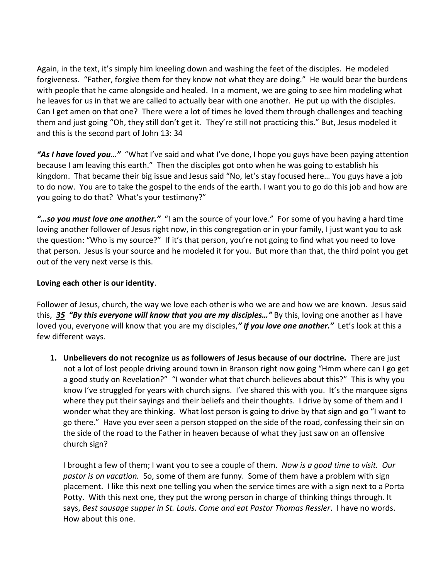Again, in the text, it's simply him kneeling down and washing the feet of the disciples. He modeled forgiveness. "Father, forgive them for they know not what they are doing." He would bear the burdens with people that he came alongside and healed. In a moment, we are going to see him modeling what he leaves for us in that we are called to actually bear with one another. He put up with the disciples. Can I get amen on that one? There were a lot of times he loved them through challenges and teaching them and just going "Oh, they still don't get it. They're still not practicing this." But, Jesus modeled it and this is the second part of John 13: 34

*"As I have loved you…"* "What I've said and what I've done, I hope you guys have been paying attention because I am leaving this earth." Then the disciples got onto when he was going to establish his kingdom. That became their big issue and Jesus said "No, let's stay focused here… You guys have a job to do now. You are to take the gospel to the ends of the earth. I want you to go do this job and how are you going to do that? What's your testimony?"

*"…so you must love one another."* "I am the source of your love." For some of you having a hard time loving another follower of Jesus right now, in this congregation or in your family, I just want you to ask the question: "Who is my source?" If it's that person, you're not going to find what you need to love that person. Jesus is your source and he modeled it for you. But more than that, the third point you get out of the very next verse is this.

#### **Loving each other is our identity**.

Follower of Jesus, church, the way we love each other is who we are and how we are known. Jesus said this, *[35](http://www.studylight.org/desk/?q=joh%2013:35&t1=en_niv&sr=1) "By this everyone will know that you are my disciples…"* By this, loving one another as I have loved you, everyone will know that you are my disciples,*" if you love one another."* Let's look at this a few different ways.

**1. Unbelievers do not recognize us as followers of Jesus because of our doctrine.** There are just not a lot of lost people driving around town in Branson right now going "Hmm where can I go get a good study on Revelation?" "I wonder what that church believes about this?" This is why you know I've struggled for years with church signs. I've shared this with you. It's the marquee signs where they put their sayings and their beliefs and their thoughts. I drive by some of them and I wonder what they are thinking. What lost person is going to drive by that sign and go "I want to go there." Have you ever seen a person stopped on the side of the road, confessing their sin on the side of the road to the Father in heaven because of what they just saw on an offensive church sign?

I brought a few of them; I want you to see a couple of them. *Now is a good time to visit. Our pastor is on vacation.* So, some of them are funny. Some of them have a problem with sign placement. I like this next one telling you when the service times are with a sign next to a Porta Potty. With this next one, they put the wrong person in charge of thinking things through. It says, *Best sausage supper in St. Louis. Come and eat Pastor Thomas Ressler*. I have no words. How about this one.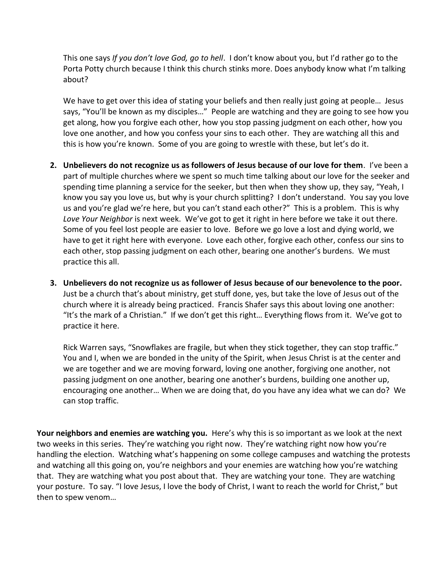This one says *If you don't love God, go to hell*. I don't know about you, but I'd rather go to the Porta Potty church because I think this church stinks more. Does anybody know what I'm talking about?

We have to get over this idea of stating your beliefs and then really just going at people... Jesus says, "You'll be known as my disciples…" People are watching and they are going to see how you get along, how you forgive each other, how you stop passing judgment on each other, how you love one another, and how you confess your sins to each other. They are watching all this and this is how you're known. Some of you are going to wrestle with these, but let's do it.

- **2. Unbelievers do not recognize us as followers of Jesus because of our love for them**. I've been a part of multiple churches where we spent so much time talking about our love for the seeker and spending time planning a service for the seeker, but then when they show up, they say, "Yeah, I know you say you love us, but why is your church splitting? I don't understand. You say you love us and you're glad we're here, but you can't stand each other?" This is a problem. This is why *Love Your Neighbor* is next week. We've got to get it right in here before we take it out there. Some of you feel lost people are easier to love. Before we go love a lost and dying world, we have to get it right here with everyone. Love each other, forgive each other, confess our sins to each other, stop passing judgment on each other, bearing one another's burdens. We must practice this all.
- **3. Unbelievers do not recognize us as follower of Jesus because of our benevolence to the poor.**  Just be a church that's about ministry, get stuff done, yes, but take the love of Jesus out of the church where it is already being practiced. Francis Shafer says this about loving one another: "It's the mark of a Christian." If we don't get this right… Everything flows from it. We've got to practice it here.

Rick Warren says, "Snowflakes are fragile, but when they stick together, they can stop traffic." You and I, when we are bonded in the unity of the Spirit, when Jesus Christ is at the center and we are together and we are moving forward, loving one another, forgiving one another, not passing judgment on one another, bearing one another's burdens, building one another up, encouraging one another… When we are doing that, do you have any idea what we can do? We can stop traffic.

**Your neighbors and enemies are watching you.** Here's why this is so important as we look at the next two weeks in this series. They're watching you right now. They're watching right now how you're handling the election. Watching what's happening on some college campuses and watching the protests and watching all this going on, you're neighbors and your enemies are watching how you're watching that. They are watching what you post about that. They are watching your tone. They are watching your posture. To say. "I love Jesus, I love the body of Christ, I want to reach the world for Christ," but then to spew venom…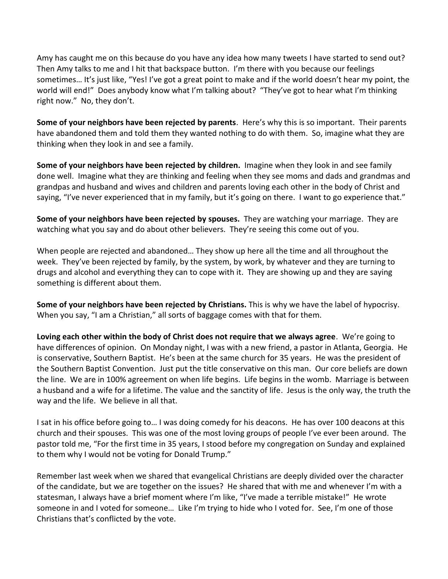Amy has caught me on this because do you have any idea how many tweets I have started to send out? Then Amy talks to me and I hit that backspace button. I'm there with you because our feelings sometimes… It's just like, "Yes! I've got a great point to make and if the world doesn't hear my point, the world will end!" Does anybody know what I'm talking about? "They've got to hear what I'm thinking right now." No, they don't.

**Some of your neighbors have been rejected by parents**. Here's why this is so important. Their parents have abandoned them and told them they wanted nothing to do with them. So, imagine what they are thinking when they look in and see a family.

**Some of your neighbors have been rejected by children.** Imagine when they look in and see family done well. Imagine what they are thinking and feeling when they see moms and dads and grandmas and grandpas and husband and wives and children and parents loving each other in the body of Christ and saying, "I've never experienced that in my family, but it's going on there. I want to go experience that."

**Some of your neighbors have been rejected by spouses.** They are watching your marriage. They are watching what you say and do about other believers. They're seeing this come out of you.

When people are rejected and abandoned… They show up here all the time and all throughout the week. They've been rejected by family, by the system, by work, by whatever and they are turning to drugs and alcohol and everything they can to cope with it. They are showing up and they are saying something is different about them.

**Some of your neighbors have been rejected by Christians.** This is why we have the label of hypocrisy. When you say, "I am a Christian," all sorts of baggage comes with that for them.

**Loving each other within the body of Christ does not require that we always agree**. We're going to have differences of opinion. On Monday night, I was with a new friend, a pastor in Atlanta, Georgia. He is conservative, Southern Baptist. He's been at the same church for 35 years. He was the president of the Southern Baptist Convention. Just put the title conservative on this man. Our core beliefs are down the line. We are in 100% agreement on when life begins. Life begins in the womb. Marriage is between a husband and a wife for a lifetime. The value and the sanctity of life. Jesus is the only way, the truth the way and the life. We believe in all that.

I sat in his office before going to… I was doing comedy for his deacons. He has over 100 deacons at this church and their spouses. This was one of the most loving groups of people I've ever been around. The pastor told me, "For the first time in 35 years, I stood before my congregation on Sunday and explained to them why I would not be voting for Donald Trump."

Remember last week when we shared that evangelical Christians are deeply divided over the character of the candidate, but we are together on the issues? He shared that with me and whenever I'm with a statesman, I always have a brief moment where I'm like, "I've made a terrible mistake!" He wrote someone in and I voted for someone… Like I'm trying to hide who I voted for. See, I'm one of those Christians that's conflicted by the vote.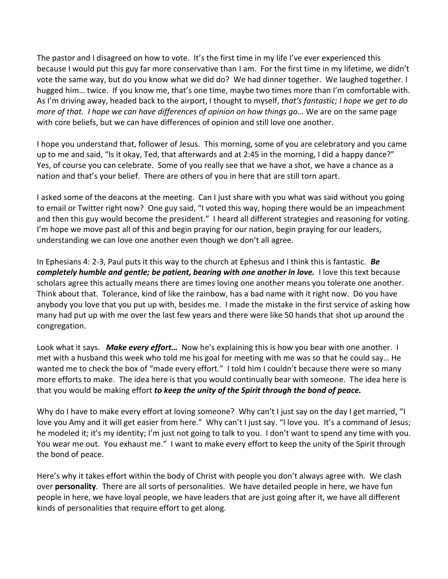The pastor and I disagreed on how to vote. It's the first time in my life I've ever experienced this because I would put this guy far more conservative than I am. For the first time in my lifetime, we didn't vote the same way, but do you know what we did do? We had dinner together. We laughed together. I hugged him… twice. If you know me, that's one time, maybe two times more than I'm comfortable with. As I'm driving away, headed back to the airport, I thought to myself, *that's fantastic; I hope we get to do more of that. I hope we can have differences of opinion on how things go…* We are on the same page with core beliefs, but we can have differences of opinion and still love one another.

I hope you understand that, follower of Jesus. This morning, some of you are celebratory and you came up to me and said, "Is it okay, Ted, that afterwards and at 2:45 in the morning, I did a happy dance?" Yes, of course you can celebrate. Some of you really see that we have a shot, we have a chance as a nation and that's your belief. There are others of you in here that are still torn apart.

I asked some of the deacons at the meeting. Can I just share with you what was said without you going to email or Twitter right now? One guy said, "I voted this way, hoping there would be an impeachment and then this guy would become the president." I heard all different strategies and reasoning for voting. I'm hope we move past all of this and begin praying for our nation, begin praying for our leaders, understanding we can love one another even though we don't all agree.

In Ephesians 4: 2-3, Paul puts it this way to the church at Ephesus and I think this is fantastic. *Be completely humble and gentle; be patient, bearing with one another in love.* I love this text because scholars agree this actually means there are times loving one another means you tolerate one another. Think about that. Tolerance, kind of like the rainbow, has a bad name with it right now. Do you have anybody you love that you put up with, besides me. I made the mistake in the first service of asking how many had put up with me over the last few years and there were like 50 hands that shot up around the congregation.

Look what it says. *Make every effort…* Now he's explaining this is how you bear with one another. I met with a husband this week who told me his goal for meeting with me was so that he could say… He wanted me to check the box of "made every effort." I told him I couldn't because there were so many more efforts to make. The idea here is that you would continually bear with someone. The idea here is that you would be making effort *to keep the unity of the Spirit through the bond of peace.*

Why do I have to make every effort at loving someone? Why can't I just say on the day I get married, "I love you Amy and it will get easier from here." Why can't I just say. "I love you. It's a command of Jesus; he modeled it; it's my identity; I'm just not going to talk to you. I don't want to spend any time with you. You wear me out. You exhaust me." I want to make every effort to keep the unity of the Spirit through the bond of peace.

Here's why it takes effort within the body of Christ with people you don't always agree with. We clash over **personality**. There are all sorts of personalities. We have detailed people in here, we have fun people in here, we have loyal people, we have leaders that are just going after it, we have all different kinds of personalities that require effort to get along.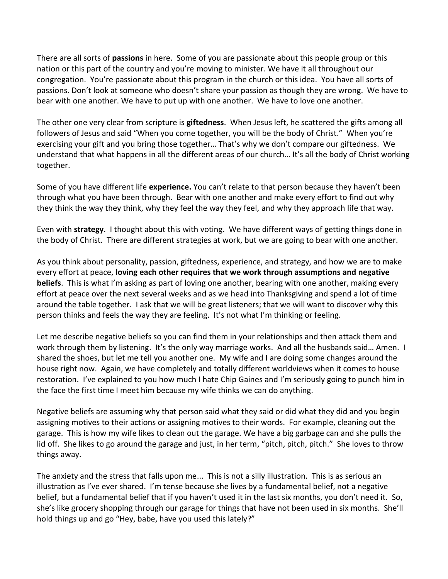There are all sorts of **passions** in here. Some of you are passionate about this people group or this nation or this part of the country and you're moving to minister. We have it all throughout our congregation. You're passionate about this program in the church or this idea. You have all sorts of passions. Don't look at someone who doesn't share your passion as though they are wrong. We have to bear with one another. We have to put up with one another. We have to love one another.

The other one very clear from scripture is **giftedness**. When Jesus left, he scattered the gifts among all followers of Jesus and said "When you come together, you will be the body of Christ." When you're exercising your gift and you bring those together… That's why we don't compare our giftedness. We understand that what happens in all the different areas of our church… It's all the body of Christ working together.

Some of you have different life **experience.** You can't relate to that person because they haven't been through what you have been through. Bear with one another and make every effort to find out why they think the way they think, why they feel the way they feel, and why they approach life that way.

Even with **strategy**. I thought about this with voting. We have different ways of getting things done in the body of Christ. There are different strategies at work, but we are going to bear with one another.

As you think about personality, passion, giftedness, experience, and strategy, and how we are to make every effort at peace, **loving each other requires that we work through assumptions and negative beliefs**. This is what I'm asking as part of loving one another, bearing with one another, making every effort at peace over the next several weeks and as we head into Thanksgiving and spend a lot of time around the table together. I ask that we will be great listeners; that we will want to discover why this person thinks and feels the way they are feeling. It's not what I'm thinking or feeling.

Let me describe negative beliefs so you can find them in your relationships and then attack them and work through them by listening. It's the only way marriage works. And all the husbands said... Amen. I shared the shoes, but let me tell you another one. My wife and I are doing some changes around the house right now. Again, we have completely and totally different worldviews when it comes to house restoration. I've explained to you how much I hate Chip Gaines and I'm seriously going to punch him in the face the first time I meet him because my wife thinks we can do anything.

Negative beliefs are assuming why that person said what they said or did what they did and you begin assigning motives to their actions or assigning motives to their words. For example, cleaning out the garage. This is how my wife likes to clean out the garage. We have a big garbage can and she pulls the lid off. She likes to go around the garage and just, in her term, "pitch, pitch, pitch." She loves to throw things away.

The anxiety and the stress that falls upon me... This is not a silly illustration. This is as serious an illustration as I've ever shared. I'm tense because she lives by a fundamental belief, not a negative belief, but a fundamental belief that if you haven't used it in the last six months, you don't need it. So, she's like grocery shopping through our garage for things that have not been used in six months. She'll hold things up and go "Hey, babe, have you used this lately?"